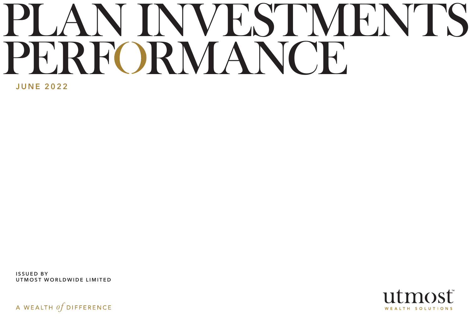# VINVESTMENT: RMANCE. **JUNE 2022**

ISSUED BY UTMOST WORLDWIDE LIMITED



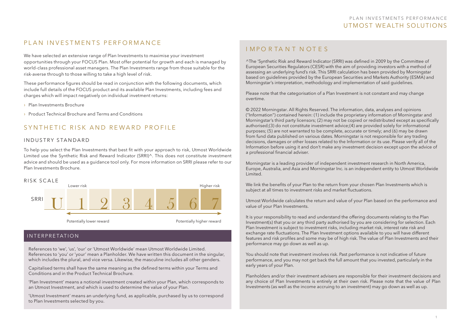#### PI AN INVESTMENTS PERFORMANCE

We have selected an extensive range of Plan Investments to maximise your investment opportunities through your FOCUS Plan. Most offer potential for growth and each is managed by world-class professional asset managers. The Plan Investments range from those suitable for the risk-averse through to those willing to take a high level of risk.

These performance figures should be read in conjunction with the following documents, which include full details of the FOCUS product and its available Plan Investments, including fees and charges which will impact negatively on individual invetment returns:

- › Plan Investments Brochure
- › Product Technical Brochure and Terms and Conditions

#### SYNTHETIC RISK AND REWARD PROFILE

#### INDUSTRY STANDARD

To help you select the Plan Investments that best fit with your approach to risk, Utmost Worldwide Limited use the Synthetic Risk and Reward Indicator (SRRI)^. This does not constitute investment advice and should be used as a guidance tool only. For more information on SRRI please refer to our Plan Investments Brochure.



#### INTERPRETATION

References to 'we', 'us', 'our' or 'Utmost Worldwide' mean Utmost Worldwide Limited. References to 'you' or 'your' mean a Planholder. We have written this document in the singular, which includes the plural, and vice versa. Likewise, the masculine includes all other genders.

Capitalised terms shall have the same meaning as the defined terms within your Terms and Conditions and in the Product Technical Brochure.

'Plan Investment' means a notional investment created within your Plan, which corresponds to an Utmost Investment, and which is used to determine the value of your Plan.

'Utmost Investment' means an underlying fund, as applicable, purchased by us to correspond to Plan Investments selected by you.

#### I MPO R TA N T N OT F S

^The 'Synthetic Risk and Reward Indicator (SRRI) was defined in 2009 by the Committee of European Securities Regulators (CESR) with the aim of providing investors with a method of assessing an underlying fund's risk. This SRRI calculation has been provided by Morningstar based on guidelines provided by the European Securities and Markets Authority (ESMA) and Morningstar's interpretation, methodology and implementation of said guidelines.

Please note that the categorisation of a Plan Investment is not constant and may change overtime.

© 2022 Morningstar. All Rights Reserved. The information, data, analyses and opinions ("Information") contained herein: (1) include the proprietary information of Morningstar and Morningstar's third party licensors; (2) may not be copied or redistributed except as specifically authorised;(3) do not constitute investment advice;(4) are provided solely for informational purposes; (5) are not warranted to be complete, accurate or timely; and (6) may be drawn from fund data published on various dates. Morningstar is not responsible for any trading decisions, damages or other losses related to the Information or its use. Please verify all of the Information before using it and don't make any investment decision except upon the advice of a professional financial adviser.

Morningstar is a leading provider of independent investment research in North America, Europe, Australia, and Asia and Morningstar Inc. is an independent entity to Utmost Worldwide Limited.

We link the benefits of your Plan to the return from your chosen Plan Investments which is subject at all times to investment risks and market fluctuations.

Utmost Worldwide calculates the return and value of your Plan based on the performance and value of your Plan Investments.

It is your responsibility to read and understand the offering documents relating to the Plan Investment(s) that you or any third party authorised by you are considering for selection. Each Plan Investment is subject to investment risks, including market risk, interest rate risk and exchange rate fluctuations. The Plan Investment options available to you will have different features and risk profiles and some may be of high risk. The value of Plan Investments and their performance may go down as well as up.

You should note that investment involves risk. Past performance is not indicative of future performance, and you may not get back the full amount that you invested, particularly in the early years of your Plan.

Planholders and/or their investment advisers are responsible for their investment decisions and any choice of Plan Investments is entirely at their own risk. Please note that the value of Plan Investments (as well as the income accruing to an investment) may go down as well as up.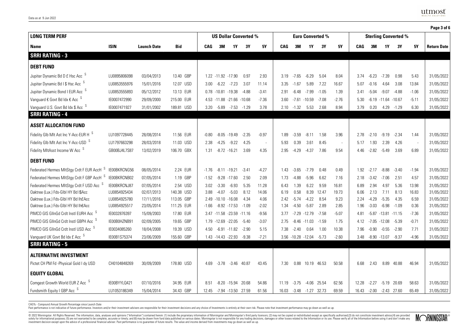|                                                    |              |                    |            |            |                    |                              |         |                          |            |                          |                  |                         |                          |                             |                   |                 |            |         | Page 3 of 6        |
|----------------------------------------------------|--------------|--------------------|------------|------------|--------------------|------------------------------|---------|--------------------------|------------|--------------------------|------------------|-------------------------|--------------------------|-----------------------------|-------------------|-----------------|------------|---------|--------------------|
| <b>LONG TERM PERF</b>                              |              |                    |            |            |                    | <b>US Dollar Converted %</b> |         |                          |            |                          |                  | <b>Euro Converted %</b> |                          | <b>Sterling Converted %</b> |                   |                 |            |         |                    |
| Name                                               | <b>ISIN</b>  | <b>Launch Date</b> | Bid        | <b>CAG</b> | 3M                 | 1Υ                           | 3Υ      | 5Υ                       | <b>CAG</b> | 3M                       | 1Υ               | 3Υ                      | 5Υ                       | <b>CAG</b>                  | 3M                | 1Y              | 3Υ         | 5Υ      | <b>Return Date</b> |
| <b>SRRI RATING - 3</b>                             |              |                    |            |            |                    |                              |         |                          |            |                          |                  |                         |                          |                             |                   |                 |            |         |                    |
| <b>DEBT FUND</b>                                   |              |                    |            |            |                    |                              |         |                          |            |                          |                  |                         |                          |                             |                   |                 |            |         |                    |
| Jupiter Dynamic Bd D £ Hsc Acc S                   | LU0895806098 | 03/04/2013         | 13.40 GBP  |            | 1.22 -11.92 -17.90 |                              | 0.97    | 2.93                     | 3.19       | $-7.65$                  | $-6.29$          | 5.04                    | 8.04                     | 3.74                        | $-6.23$           | $-7.39$         | 0.98       | 5.43    | 31/05/2022         |
| Jupiter Dynamic Bd I \$ Hsc Acc S                  | LU0853555976 | 15/01/2016         | 12.07 USD  | 3.00       | $-6.22$            | $-7.23$                      | 3.07    | 11.14                    | 3.35       | $-1.67$                  | 5.89             | 7.22                    | 16.67                    | 5.07                        | $-0.16$           | 4.64            | 3.08       | 13.84   | 31/05/2022         |
| Jupiter Dynamic Bond I EUR Acc S                   | LU0853555893 | 05/12/2012         | 13.13 EUR  |            | 0.78 -10.81 -19.38 |                              | -4.88   | $-3.41$                  | 2.91       | $-6.48$                  | $-7.99$          | $-1.05$                 | 1.39                     | 3.41                        | $-5.04$           | $-9.07$         | $-4.88$    | $-1.06$ | 31/05/2022         |
| Vanguard $\epsilon$ Govt Bd Idx $\epsilon$ Acc $S$ | IE0007472990 | 29/09/2000         | 215.00 EUR |            |                    | 4.53 -11.88 -21.66 -10.68    |         | $-7.36$                  | 3.60       | -7.61                    | $-10.59$         | -7.08                   | $-2.76$                  | 5.30                        |                   | $-6.19 - 11.64$ | $-10.67$   | $-5.11$ | 31/05/2022         |
| Vanguard U.S. Govt Bd Idx \$ Acc S                 | IE0007471927 | 31/01/2002         | 189.81 USD | 3.20       |                    | $-5.89$ $-7.53$ $-1.29$      |         | 3.78                     | 2.10       | $-1.32$                  | 5.53             | 2.68                    | 8.94                     | 3.79                        | 0.20              | 4.29 -1.29      |            | 6.30    | 31/05/2022         |
| <b>SRRI RATING - 4</b>                             |              |                    |            |            |                    |                              |         |                          |            |                          |                  |                         |                          |                             |                   |                 |            |         |                    |
| <b>ASSET ALLOCATION FUND</b>                       |              |                    |            |            |                    |                              |         |                          |            |                          |                  |                         |                          |                             |                   |                 |            |         |                    |
| Fidelity GIb MIt Ast Inc Y-Acc-EUR H S             | LU1097728445 | 28/08/2014         | 11.56 EUR  | $-0.80$    | $-8.05$            | $-19.49$                     | $-2.35$ | $-0.97$                  | 1.89       | $-3.59$                  | $-8.11$          | 1.58                    | 3.96                     | 2.78                        | $-2.10$           | $-9.19$         | $-2.34$    | 1.44    | 31/05/2022         |
| Fidelity Glb MIt Ast Inc Y-Acc-USD S               | LU1797663298 | 28/03/2018         | 11.03 USD  | 2.38       | $-4.25$            | $-9.22$                      | 4.25    | $\overline{\phantom{a}}$ | 5.93       | 0.39                     | 3.61             | 8.45                    | $\overline{\phantom{a}}$ | 5.17                        | 1.93              | 2.39            | 4.26       |         | 31/05/2022         |
| Fidelity MItAsst Income W Acc S                    | GB00BJ4L7S87 | 13/02/2019         | 106.70 GBX | 1.31       |                    | $-8.72 - 16.21$              | 3.69    | 4.35                     | 2.95       | $-4.29$                  | $-4.37$          | 7.86                    | 9.54                     | 4.46                        | $-2.82$           | $-5.49$         | 3.69       | 6.89    | 31/05/2022         |
| <b>DEBT FUND</b>                                   |              |                    |            |            |                    |                              |         |                          |            |                          |                  |                         |                          |                             |                   |                 |            |         |                    |
| Federated Hermes MItStgy Crdt F EUR AccH S         | IE00BKRCNG56 | 08/05/2014         | 2.24 EUR   | $-1.76$    | $-8.11$            | $-19.21$                     | $-3.41$ | $-4.27$                  | 1.43       | $-3.65$                  | $-7.79$          | 0.48                    | 0.49                     | 1.92                        | $-2.17$           | $-8.88$         | $-3.40$    | $-1.94$ | 31/05/2022         |
| Federated Hermes MItStgy Crdt F GBP AccH S         | IE00BKRCNB02 | 07/05/2014         | 1.19 GBP   | $-1.52$    |                    | $-9.28 - 17.60$              | 2.50    | 2.09                     | 1.73       | $-4.88$                  | $-5.96$          | 6.62                    | 7.16                     | 2.18                        | $-3.42$           | $-7.06$         | 2.51       | 4.57    | 31/05/2022         |
| Federated Hermes MItStgy Crdt F USD Acc S          | IE00BKRCNJ87 | 07/05/2014         | 2.54 USD   | 3.02       | $-3.30$            | $-6.93$                      | 5.35    | 11.28                    | 6.43       | 1.39                     | 6.22             | 9.59                    | 16.81                    | 6.89                        | 2.94              | 4.97            | 5.36       | 13.98   | 31/05/2022         |
| Oaktree (Lux.) Fds-Glbl HY Bd I\$Acc               | LU0854925434 | 02/07/2013         | 140.38 USD | 3.88       | $-4.07$            | $-5.03$                      | 8.12    | 14.06                    | 6.19       | 0.58                     | 8.39             | 12.47                   | 19.73                    | 6.06                        | 2.13              | 7.11            | 8.13       | 16.83   | 31/05/2022         |
| Oaktree (Lux.) Fds-GIbI HY Bd Ih£Acc               | LU0854925780 | 17/11/2016         | 113.05 GBP | 2.49       | $-10.10 - 16.08$   |                              | 4.34    | 4.06                     | 2.42       | $-5.74$                  | $-4.22$          | 8.54                    | 9.23                     | 2.24                        | $-4.29$           | $-5.35$         | 4.35       | 6.59    | 31/05/2022         |
| Oaktree (Lux.) Fds-Glbl HY Bd Ih€Acc               | LU0854925517 | 23/05/2014         | 111.25 EUR | $-1.66$    |                    | $-8.92 -17.53 -1.09$         |         | $-2.02$                  | 1.34       | $-4.50$                  | $-5.87$          | 2.89                    | 2.85                     | 1.96                        | $-3.03$           | $-6.98$         | $-1.09$    | 0.36    | 31/05/2022         |
| PIMCO GIS GIInGd Crdt Instl EURH Acc S             | IE0032876397 | 15/09/2003         | 17.80 EUR  | 3.47       |                    | $-11.58 - 23.59 - 11.16$     |         | -9.56                    | 3.77       | $-7.29 - 12.79$          |                  | $-7.58$                 | $-5.07$                  | 4.81                        |                   | $-5.87 - 13.81$ | $-11.15$   | $-7.36$ | 31/05/2022         |
| PIMCO GIS GIInGd Crdt Instl GBPH Acc S             | IE00B0HZNB91 | 02/09/2005         | 19.65 GBP  | 1.79       | $-12.69 -22.05$    |                              | $-5.40$ | $-3.07$                  | 2.75       | $-8.46 - 11.03$          |                  | $-1.59$                 | 1.75                     | 4.12                        |                   | $-7.05 - 12.08$ | $-5.39$    | $-0.71$ | 31/05/2022         |
| PIMCO GIS GIInGd Crdt Instl USD Acc S              | IE0034085260 | 18/04/2008         | 19.39 USD  | 4.50       |                    | $-6.91 - 11.82$              | $-2.90$ | 5.15                     | 7.38       | $-2.40$                  | 0.64             | 1.00                    | 10.38                    | 7.96                        | $-0.90$           | $-0.55$         | $-2.90$    | 7.71    | 31/05/2022         |
| Vanguard UK Govt Bd Idx £ Acc S                    | IE00B1S75374 | 23/06/2009         | 155.60 GBP |            |                    | 1.43 -14.43 -22.93 -9.38     |         | $-7.21$                  |            | 3.56 -10.28 -12.04 -5.73 |                  |                         | $-2.60$                  |                             | 3.48 -8.90 -13.07 |                 | $-9.37$    | $-4.96$ | 31/05/2022         |
| <b>SRRI RATING - 5</b>                             |              |                    |            |            |                    |                              |         |                          |            |                          |                  |                         |                          |                             |                   |                 |            |         |                    |
| <b>ALTERNATIVE INVESTMENT</b>                      |              |                    |            |            |                    |                              |         |                          |            |                          |                  |                         |                          |                             |                   |                 |            |         |                    |
| Pictet CH PM Fd - Physical Gold I dy USD           | CH0104848269 | 30/09/2009         | 178.80 USD | 4.69       |                    | $-3.78 - 3.46$ 40.87         |         | 43.45                    | 7.30       |                          | 0.88 10.19 46.53 |                         | 50.58                    | 6.68                        | 2.43              |                 | 8.89 40.88 | 46.94   | 31/05/2022         |
| <b>EQUITY GLOBAL</b>                               |              |                    |            |            |                    |                              |         |                          |            |                          |                  |                         |                          |                             |                   |                 |            |         |                    |
| Comgest Growth World EUR Z Acc S                   | IE00BYYLQ421 | 07/10/2016         | 34.95 EUR  | 8.51       |                    | $-8.20 - 15.94$              | 20.68   | 54.86                    | 11.19      | $-3.75$                  | $-4.06$          | 25.54                   | 62.56                    | 12.28                       | $-2.27$           | $-5.19$         | 20.69      | 58.63   | 31/05/2022         |
| Fundsmith Equity I GBP Acc <sup>S</sup>            | LU1053186349 | 15/04/2014         | 34.43 GBP  | 12.45      |                    | -7.94 -13.50 27.59           |         | 61.56                    | 16.03      | $-3.48$ $-1.27$ 32.73    |                  |                         | 69.59                    |                             | 16.43 -2.00       | $-2.43$ 27.60   |            | 65.49   | 31/05/2022         |

CAG% - Compound Annual Growth Percentage since Launch Date

Past performance is not indicative of future performance. Investors and/or their investment advisers are responsible for their investment decisions and any choice of lavestinents is entirely at their own risk. Please note

© 2022 Morningstar. All Rights Reserved. The information, data, analyses and opinions ("Information") contained herein: (1) include the proprietary information of Morningstar and Morningstar's third party licensos; (2) may

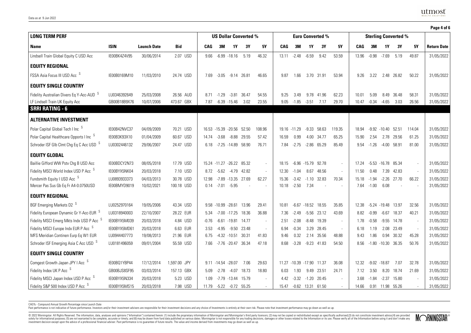|                                                     |              |                    |              |            |                        |                           |                              |                |            |                     |                      |                         |                          |                             |         |                       |               |        | Page 4 of 6        |
|-----------------------------------------------------|--------------|--------------------|--------------|------------|------------------------|---------------------------|------------------------------|----------------|------------|---------------------|----------------------|-------------------------|--------------------------|-----------------------------|---------|-----------------------|---------------|--------|--------------------|
| <b>LONG TERM PERF</b>                               |              |                    |              |            |                        |                           | <b>US Dollar Converted %</b> |                |            |                     |                      | <b>Euro Converted %</b> |                          | <b>Sterling Converted %</b> |         |                       |               |        |                    |
| <b>Name</b>                                         | <b>ISIN</b>  | <b>Launch Date</b> | Bid          | <b>CAG</b> | 3M                     | 1Y                        | 3Υ                           | 5Υ             | <b>CAG</b> | 3M                  | 1Y                   | 3Y                      | 5Υ                       | <b>CAG</b>                  | 3M      | 1Y                    | 3Υ            | 5Υ     | <b>Return Date</b> |
| Lindsell Train Global Equity C USD Acc              | IE00BK4Z4V95 | 30/06/2014         | 2.07 USD     | 9.66       |                        | $-6.99 - 18.16$           | 5.19                         | 46.32          | 13.11      | $-2.48$             | $-6.59$              | 9.42                    | 53.59                    | 13.96                       | $-0.98$ | $-7.69$               | 5.19          | 49.87  | 31/05/2022         |
| <b>EQUITY REGIONAL</b>                              |              |                    |              |            |                        |                           |                              |                |            |                     |                      |                         |                          |                             |         |                       |               |        |                    |
| FSSA Asia Focus III USD Acc S                       | IE00B0169M10 | 11/03/2010         | 24.74 USD    | 7.69       | $-3.05$                | $-9.14$ 26.81             |                              | 46.65          | 9.87       | 1.66                |                      | 3.70 31.91              | 53.94                    | 9.26                        | 3.22    |                       | 2.48 26.82    | 50.22  | 31/05/2022         |
| <b>EQUITY SINGLE COUNTRY</b>                        |              |                    |              |            |                        |                           |                              |                |            |                     |                      |                         |                          |                             |         |                       |               |        |                    |
| Fidelity Australian Divers Eq Y-Acc-AUD S           | LU0346392649 | 25/03/2008         | 26.56 AUD    | 8.71       | $-1.29$                | $-3.81$                   | 36.47                        | 54.55          | 9.25       | 3.49                |                      | 9.78 41.96              | 62.23                    | 10.01                       | 5.09    | 8.49                  | 36.48         | 58.31  | 31/05/2022         |
| LF Lindsell Train UK Equity Acc                     | GB00B18B9X76 | 10/07/2006         | 473.67 GBX   | 7.87       |                        | $-6.39 - 15.46$           | 3.02                         | 23.55          | 9.05       |                     | $-1.85 -3.51$ 7.17   |                         | 29.70                    | 10.47                       | $-0.34$ | $-4.65$               | 3.03          | 26.56  | 31/05/2022         |
| <b>SRRI RATING - 6</b>                              |              |                    |              |            |                        |                           |                              |                |            |                     |                      |                         |                          |                             |         |                       |               |        |                    |
| <b>ALTERNATIVE INVESTMENT</b>                       |              |                    |              |            |                        |                           |                              |                |            |                     |                      |                         |                          |                             |         |                       |               |        |                    |
| Polar Capital Global Tech I Inc <sup>S</sup>        | IE00B42NVC37 | 04/09/2009         | 70.21 USD    |            |                        | 16.53 -15.39 -20.56 52.50 |                              | 108.96         | 19.16      | $-11.29$            | $-9.33$              | 58.63                   | 119.35                   | 18.94                       |         | $-9.92 - 10.40$       | 52.51         | 114.04 | 31/05/2022         |
| Polar Capital Healthcare Opports I Inc <sup>S</sup> | IE00B3K93X10 | 01/04/2009         | 60.67 USD    | 14.74      | $-3.68$                |                           | $-8.88$ 29.55                | 57.42          | 16.59      | 0.99                |                      | 4.00 34.77              | 65.25                    | 15.90                       | 2.54    |                       | 2.78 29.56    | 61.25  | 31/05/2022         |
| Schroder ISF GIb Clmt Chg Eq C Acc USD S            | LU0302446132 | 29/06/2007         | 24.47 USD    |            |                        | 6.18 -7.25 -14.89 58.90   |                              | 76.71          | 7.84       |                     | $-2.75 -2.86$ 65.29  |                         | 85.49                    | 9.54                        | $-1.26$ | $-4.00$ 58.91         |               | 81.00  | 31/05/2022         |
| <b>EQUITY GLOBAL</b>                                |              |                    |              |            |                        |                           |                              |                |            |                     |                      |                         |                          |                             |         |                       |               |        |                    |
| Baillie Gifford WW Pstv Chg B USD Acc               | IE00BDCY2N73 | 08/05/2018         | 17.79 USD    |            |                        | 15.24 -11.27 -26.22       | 85.32                        | $\sim$         | 18.15      | $-6.96$             | $-15.79$             | 92.78                   | $\overline{\phantom{a}}$ | 17.24                       |         | $-5.53 - 16.78$       | 85.34         |        | 31/05/2022         |
| Fidelity MSCI World Index USD P Acc S               | IE00BYX5NK04 | 20/03/2018         | 7.10 USD     | 8.72       | $-5.62$                | $-4.79$                   | 42.82                        | $\sim$         | 12.30      | $-1.04$             | 8.67                 | 48.56                   | $\sim$                   | 11.50                       | 0.48    | 7.39                  | 42.83         |        | 31/05/2022         |
| Fundsmith Equity I USD Acc S                        | LU0893933373 | 04/03/2013         | 30.78 USD    | 12.98      |                        | $-7.89 - 13.35$           | 27.69                        | 62.27          | 15.36      | $-3.42$             | $-1.10$              | 32.83                   | 70.34                    | 15.18                       | $-1.94$ | $-2.26$               | 27.70         | 66.22  | 31/05/2022         |
| Mercer Pas Sus Gb Eq Fr A4-0.0750USD                | IE00BMYD9019 | 10/02/2021         | 100.18 USD   | 0.14       | $-7.01$                | $-5.95$                   |                              |                | 10.18      | $-2.50$             | 7.34                 |                         |                          | 7.64                        | $-1.00$ | 6.08                  |               |        | 31/05/2022         |
| <b>EQUITY REGIONAL</b>                              |              |                    |              |            |                        |                           |                              |                |            |                     |                      |                         |                          |                             |         |                       |               |        |                    |
| BGF Emerging Markets D2 S                           | LU0252970164 | 19/05/2006         | 43.34 USD    |            | 9.58 -10.99 -28.61     |                           | 13.96                        | 29.41          | 10.81      |                     | $-6.67 -18.52$ 18.55 |                         | 35.85                    | 12.38                       |         | -5.24 -19.48 13.97    |               | 32.56  | 31/05/2022         |
| Fidelity European Dynamic Gr Y-Acc-EUR <sup>S</sup> | LU0318940003 | 22/10/2007         | 28.22 EUR    | 5.34       |                        | -7.00 -17.25              | 18.36                        | 36.88          | 7.36       | $-2.49$             |                      | $-5.56$ 23.12           | 43.69                    | 8.82                        | $-0.99$ | -6.67                 | 18.37         | 40.21  | 31/05/2022         |
| Fidelity MSCI Emerg Mkts Indx USD P Acc S           | IE00BYX5M039 | 20/03/2018         | 4.84 USD     | $-0.76$    |                        | $-6.61 - 19.81$           | 14.77                        | $\sim$         | 2.51       | $-2.08$             |                      | $-8.48$ 19.39           | $\overline{\phantom{a}}$ | 1.78                        | $-0.58$ |                       | $-9.55$ 14.78 |        | 31/05/2022         |
| Fidelity MSCI Europe Indx EUR P Acc S               | IE00BYX5MD61 | 20/03/2018         | 6.63 EUR     | 3.53       | $-4.95$                | $-9.50$                   | 23.48                        | $\overline{a}$ | 6.94       | $-0.34$             | 3.29                 | 28.45                   | $\overline{\phantom{a}}$ | 6.18                        | 1.19    | 2.08                  | 23.49         |        | 31/05/2022         |
| MFS Meridian Continen Eurp Eq W1 EUR                | LU0944407773 | 19/08/2013         | 21.96 EUR    | 6.75       |                        | $-4.32 - 10.51$           | 30.31                        | 41.83          | 9.46       | 0.32                | 2.14                 | 35.56                   | 48.88                    | 9.43                        | 1.86    | 0.94                  | 30.32         | 45.28  | 31/05/2022         |
| Schroder ISF Emerging Asia C Acc USD <sup>S</sup>   | LU0181496059 | 09/01/2004         | 55.59 USD    | 7.66       |                        | -7.76 -20.47 36.34        |                              | 47.18          | 8.68       | $-3.28$             |                      | $-9.23$ 41.83           | 54.50                    | 8.56                        |         | $-1.80 - 10.30$ 36.35 |               | 50.76  | 31/05/2022         |
| <b>EQUITY SINGLE COUNTRY</b>                        |              |                    |              |            |                        |                           |                              |                |            |                     |                      |                         |                          |                             |         |                       |               |        |                    |
| Comgest Growth Japan JPY I Acc S                    | IE00BQ1YBP44 | 17/12/2014         | 1,597.00 JPY |            | $9.11 - 14.54 - 28.07$ |                           | 7.06                         | 29.63          | 11.27      | -10.39 -17.90 11.37 |                      |                         | 36.08                    | 12.32                       |         | $-9.02 - 18.87$       | 7.07          | 32.78  | 31/05/2022         |
| Fidelity Index UK P Acc <sup>S</sup>                | GB00BJS8SF95 | 03/03/2014         | 157.13 GBX   | 5.09       | $-2.78$                | $-4.07$                   | 18.73                        | 18.80          | 6.03       | 1.93                | 9.49                 | 23.51                   | 24.71                    | 7.12                        | 3.50    | 8.20                  | 18.74         | 21.69  | 31/05/2022         |
| Fidelity MSCI Japan Index USD P Acc S               | IE00BYX5N334 | 20/03/2018         | 5.23 USD     | 1.09       |                        | -7.79 -13.44 15.79        |                              | $\overline{a}$ | 4.42       |                     | $-3.32 -1.20$ 20.45  |                         | $\overline{\phantom{a}}$ | 3.68                        | $-1.84$ | $-2.37$               | 15.80         |        | 31/05/2022         |
| Fidelity S&P 500 Index USD P Acc S                  | IE00BYX5MS15 | 20/03/2018         | 7.98 USD     | 11.79      |                        | $-5.22$ $-0.72$ 55.25     |                              | $\sim$         | 15.47      |                     | $-0.62$ 13.31 61.50  |                         |                          | 14.66                       |         | 0.91 11.98 55.26      |               |        | 31/05/2022         |

CAG% - Compound Annual Growth Percentage since Launch Date

Past performance is not indicative of future performance. Investors and/or their investment advisers are responsible for their investment decisions and any choice of lavestinents is entirely at their own risk. Please note

© 2022 Morningstar. All Rights Reserved. The information, data, analyses and opinions ("Information") contained herein: (1) include the proprietary information of Morningstar and Morningstar's third party licensos; (2) may

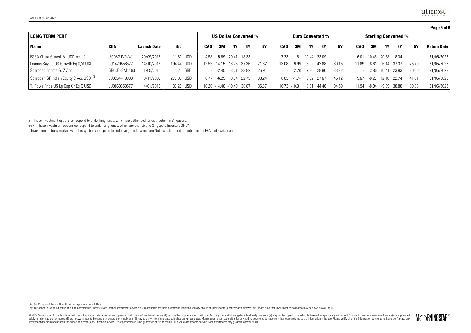|                                                     |              |                              |            |                         |                             |         |       |                          |       |              |                          |       |       |       |         |                        |       |       | Page 5 of 6        |
|-----------------------------------------------------|--------------|------------------------------|------------|-------------------------|-----------------------------|---------|-------|--------------------------|-------|--------------|--------------------------|-------|-------|-------|---------|------------------------|-------|-------|--------------------|
| <b>LONG TERM PERF</b>                               |              | <b>US Dollar Converted %</b> |            | <b>Euro Converted %</b> | <b>Sterling Converted %</b> |         |       |                          |       |              |                          |       |       |       |         |                        |       |       |                    |
| <b>Name</b>                                         | <b>ISIN</b>  | Launch Date                  | Bid        | CAG                     | 3M                          | 1Y      | 3Υ    | 5Υ                       | CAG   | 3M           | 1Υ                       | 3Υ    | 5Υ    | CAG   | 3M      | 1Υ                     | 3Y    | 5Υ    | <b>Return Date</b> |
| FSSA China Growth VI USD Acc <sup>5</sup>           | IE00BG1V0V41 | 20/09/2018                   | 11.80 USD  |                         | 4.58 -15.89 -29.41          |         | 18.33 | $\overline{\phantom{0}}$ |       |              | 7.23 -11.81 -19.44 23.09 |       |       |       |         | $6.01 - 10.46 - 20.38$ | 18.34 |       | 31/05/2022         |
| Loomis Sayles US Growth Eq S/A USD                  | LU1429558577 | 14/10/2016                   | 194.44 USD |                         | 12.55 -14.15 -16.78 37.36   |         |       | 71.62                    | 13.08 | $-9.99$      | -5.02                    | 42.88 | 80.15 | 1189  | $-8.61$ | -6.14                  | 37.37 | 75.79 | 31/05/2022         |
| l Schroder Income Fd Z Acc                          | GB00B3PM1190 | 11/05/2011                   | 1.21 GBP   |                         | $-2.45$                     | 3.21    | 23.82 | 26.91                    |       |              | 2.28 17.80               | 28.80 | 33.22 |       |         | 3.85 16.41             | 23.83 | 30.00 | 31/05/2022         |
| Schroder ISF Indian Equity C Acc USD S              | LU0264410993 | 10/11/2006                   | 277.05 USD | 6 77                    | $-6.29$                     | $-0.54$ | 22.73 | 38.24                    | 8.03  |              | $-1.74$ 13.52            | 27 67 | 45.12 | 967   | $-0.23$ | 12.18                  | 22.74 | 41.61 | 31/05/2022         |
| $\mid$ T. Rowe Price US Lg Cap Gr Eq Q USD $\mid$ S | LU0860350577 | 14/01/2013                   | 37.26 USD  |                         | 10.20 -14.46 -19.40         |         | 38.87 | 85.37                    |       | 10.73 -10.31 | -8.01                    | 44.46 | 94.59 | 11.94 | $-8.94$ | $-9.09$                | 38.88 | 89.88 | 31/05/2022         |

S - These investment options correspond to underlying funds, which are authorised for distribution in Singapore.

SGP - These investment options correspond to underlying funds, which are available to Singapore Investors ONLY

~ Investment options marked with this symbol correspond to underlying funds, which are Not available for distribution in the EEA and Switzerland.

CAG% - Compound Annual Growth Percentage since Launch Date

Past performance is not indicative of future performance. Investors and/or their investment advisers are responsible for their investment decisions and any choice of lavestinents is entirely at their own risk. Please note

© 2022 Morningstar. All Rights Reserved. The information, data, analyses and opinions ("Information") contained herein: (1) include the proprietary information of Morningstar and Morningstar's third party licensos; (2) may